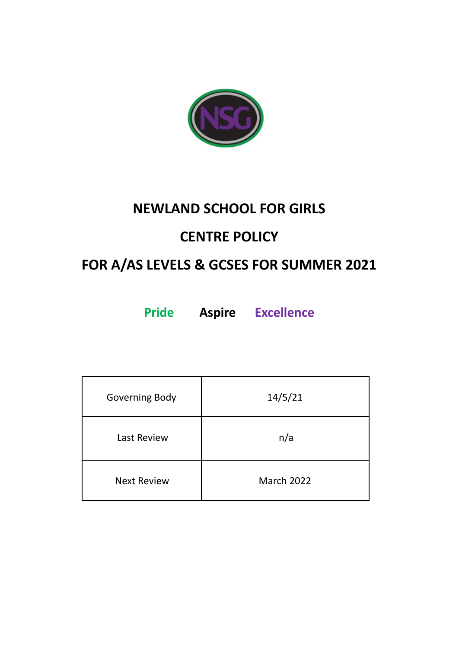

# **NEWLAND SCHOOL FOR GIRLS**

# **CENTRE POLICY**

# **FOR A/AS LEVELS & GCSES FOR SUMMER 2021**

**Pride Aspire Excellence**

| Governing Body     | 14/5/21    |  |  |
|--------------------|------------|--|--|
| <b>Last Review</b> | n/a        |  |  |
| <b>Next Review</b> | March 2022 |  |  |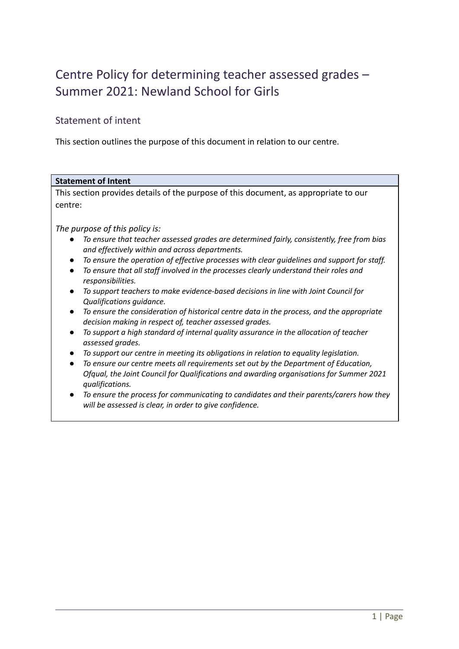# Centre Policy for determining teacher assessed grades – Summer 2021: Newland School for Girls

## Statement of intent

This section outlines the purpose of this document in relation to our centre.

# **Statement of Intent** This section provides details of the purpose of this document, as appropriate to our centre: *The purpose of this policy is: ● To ensure that teacher assessed grades are determined fairly, consistently, free from bias and effectively within and across departments. ● To ensure the operation of effective processes with clear guidelines and support for staff.*

- *● To ensure that all staff involved in the processes clearly understand their roles and responsibilities.*
- *● To support teachers to make evidence-based decisions in line with Joint Council for Qualifications guidance.*
- *● To ensure the consideration of historical centre data in the process, and the appropriate decision making in respect of, teacher assessed grades.*
- *● To support a high standard of internal quality assurance in the allocation of teacher assessed grades.*
- *● To support our centre in meeting its obligations in relation to equality legislation.*
- *● To ensure our centre meets all requirements set out by the Department of Education, Ofqual, the Joint Council for Qualifications and awarding organisations for Summer 2021 qualifications.*
- *● To ensure the process for communicating to candidates and their parents/carers how they will be assessed is clear, in order to give confidence.*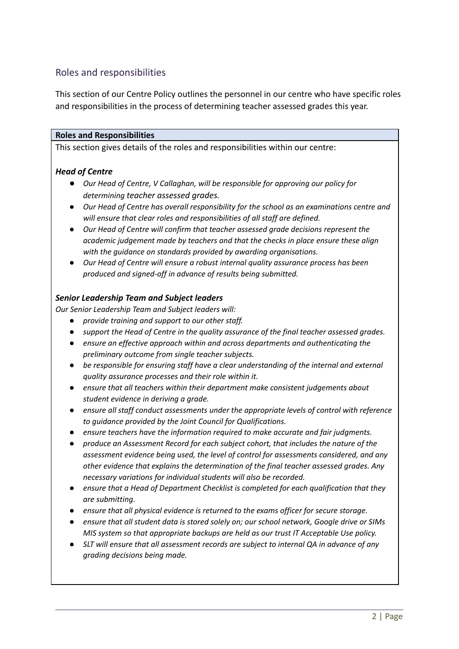## Roles and responsibilities

This section of our Centre Policy outlines the personnel in our centre who have specific roles and responsibilities in the process of determining teacher assessed grades this year.

#### **Roles and Responsibilities**

This section gives details of the roles and responsibilities within our centre:

### *Head of Centre*

- *● Our Head of Centre, V Callaghan, will be responsible for approving our policy for determining teacher assessed grades.*
- *● Our Head of Centre has overall responsibility for the school as an examinations centre and will ensure that clear roles and responsibilities of all staff are defined.*
- *● Our Head of Centre will confirm that teacher assessed grade decisions represent the academic judgement made by teachers and that the checks in place ensure these align with the guidance on standards provided by awarding organisations.*
- *● Our Head of Centre will ensure a robust internal quality assurance process has been produced and signed-off in advance of results being submitted.*

#### *Senior Leadership Team and Subject leaders*

*Our Senior Leadership Team and Subject leaders will:*

- *● provide training and support to our other staff.*
- *● support the Head of Centre in the quality assurance of the final teacher assessed grades.*
- *● ensure an effective approach within and across departments and authenticating the preliminary outcome from single teacher subjects.*
- *● be responsible for ensuring staff have a clear understanding of the internal and external quality assurance processes and their role within it.*
- *● ensure that all teachers within their department make consistent judgements about student evidence in deriving a grade.*
- *● ensure all staff conduct assessments under the appropriate levels of control with reference to guidance provided by the Joint Council for Qualifications.*
- *● ensure teachers have the information required to make accurate and fair judgments.*
- *● produce an Assessment Record for each subject cohort, that includes the nature of the assessment evidence being used, the level of control for assessments considered, and any other evidence that explains the determination of the final teacher assessed grades. Any necessary variations for individual students will also be recorded.*
- *● ensure that a Head of Department Checklist is completed for each qualification that they are submitting.*
- *● ensure that all physical evidence is returned to the exams officer for secure storage.*
- *● ensure that all student data is stored solely on; our school network, Google drive or SIMs MIS system so that appropriate backups are held as our trust IT Acceptable Use policy.*
- *● SLT will ensure that all assessment records are subject to internal QA in advance of any grading decisions being made.*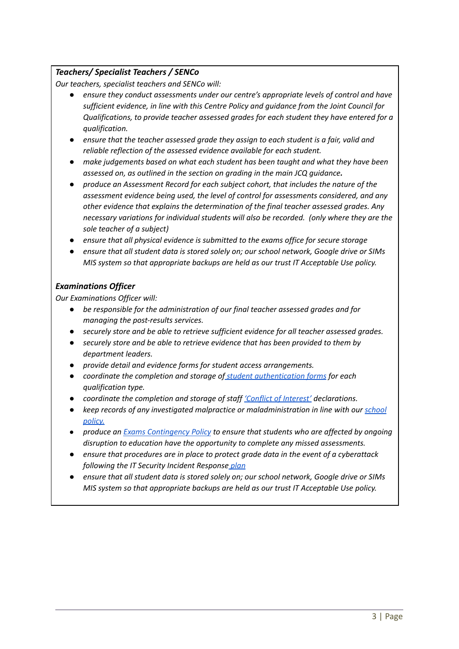## *Teachers/ Specialist Teachers / SENCo*

*Our teachers, specialist teachers and SENCo will:*

- *● ensure they conduct assessments under our centre's appropriate levels of control and have sufficient evidence, in line with this Centre Policy and guidance from the Joint Council for Qualifications, to provide teacher assessed grades for each student they have entered for a qualification.*
- *● ensure that the teacher assessed grade they assign to each student is a fair, valid and reliable reflection of the assessed evidence available for each student.*
- *● make judgements based on what each student has been taught and what they have been assessed on, as outlined in the section on grading in the main JCQ guidance.*
- *● produce an Assessment Record for each subject cohort, that includes the nature of the assessment evidence being used, the level of control for assessments considered, and any other evidence that explains the determination of the final teacher assessed grades. Any necessary variations for individual students will also be recorded. (only where they are the sole teacher of a subject)*
- *● ensure that all physical evidence is submitted to the exams office for secure storage*
- *● ensure that all student data is stored solely on; our school network, Google drive or SIMs MIS system so that appropriate backups are held as our trust IT Acceptable Use policy.*

### *Examinations Officer*

*Our Examinations Officer will:*

- *be responsible for the administration of our final teacher assessed grades and for managing the post-results services.*
- *securely store and be able to retrieve sufficient evidence for all teacher assessed grades.*
- *● securely store and be able to retrieve evidence that has been provided to them by department leaders.*
- *● provide detail and evidence forms for student access arrangements.*
- *● coordinate the completion and storage of student [authentication](https://docs.google.com/document/d/10HVGq90H296ZLgStFAVxeKat2xtWJ3em/edit?rtpof=true) forms for each qualification type.*
- *● coordinate the completion and storage of staff 'Conflict of [Interest'](https://docs.google.com/document/d/1BR_6VjskwS0j9cjzC3MUWpMc_tr01fgl/edit#) declarations.*
- *● keep records of any investigated malpractice or maladministration in line with our [school](https://docs.google.com/document/d/1u-LQzc8t5ECooF1j4kb3ArZwtkTRJeOA/edit) [policy.](https://docs.google.com/document/d/1u-LQzc8t5ECooF1j4kb3ArZwtkTRJeOA/edit)*
- *● produce an Exams [Contingency](https://docs.google.com/document/d/1jXX_fg90eG-8ezBT0Ruq2VWViytPzR3E/edit) Policy to ensure that students who are affected by ongoing disruption to education have the opportunity to complete any missed assessments.*
- *● ensure that procedures are in place to protect grade data in the event of a cyberattack following the IT Security Incident Response [plan](https://docs.google.com/document/d/1BXHvSg5VPkxDJbab4Q3XTYM4m1QO1_0X7UOR8rIJ87Y/edit?ts=608943a8#heading=h.nmzs8uymedn3)*
- *● ensure that all student data is stored solely on; our school network, Google drive or SIMs MIS system so that appropriate backups are held as our trust IT Acceptable Use policy.*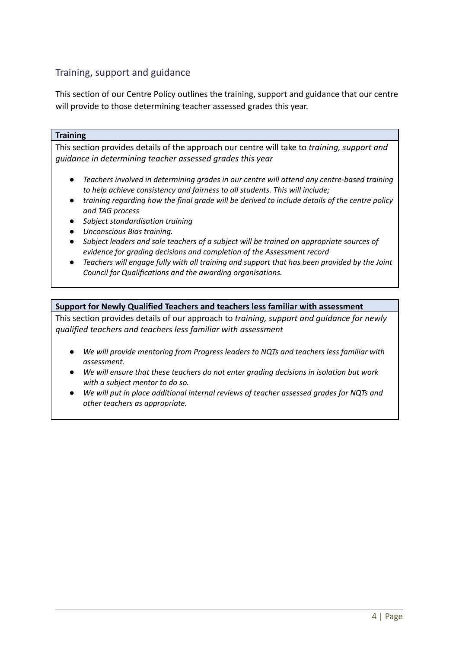## Training, support and guidance

This section of our Centre Policy outlines the training, support and guidance that our centre will provide to those determining teacher assessed grades this year.

#### **Training**

This section provides details of the approach our centre will take to *training, support and guidance in determining teacher assessed grades this year*

- *Teachers involved in determining grades in our centre will attend any centre-based training to help achieve consistency and fairness to all students. This will include;*
- *training regarding how the final grade will be derived to include details of the centre policy and TAG process*
- *Subject standardisation training*
- *Unconscious Bias training.*
- *● Subject leaders and sole teachers of a subject will be trained on appropriate sources of evidence for grading decisions and completion of the Assessment record*
- *● Teachers will engage fully with all training and support that has been provided by the Joint Council for Qualifications and the awarding organisations.*

### **Support for Newly Qualified Teachers and teachers less familiar with assessment**

This section provides details of our approach to *training, support and guidance for newly qualified teachers and teachers less familiar with assessment*

- *● We will provide mentoring from Progress leaders to NQTs and teachers less familiar with assessment.*
- *● We will ensure that these teachers do not enter grading decisions in isolation but work with a subject mentor to do so.*
- *We will put in place additional internal reviews of teacher assessed grades for NQTs and other teachers as appropriate.*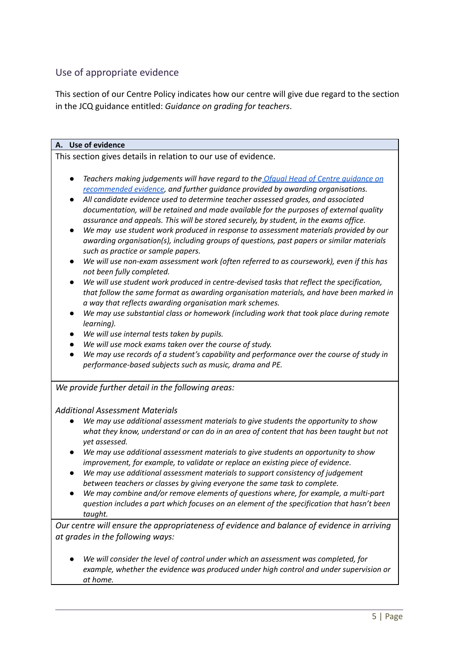## Use of appropriate evidence

This section of our Centre Policy indicates how our centre will give due regard to the section in the JCQ guidance entitled: *Guidance on grading for teachers*.

#### **A. Use of evidence**

This section gives details in relation to our use of evidence.

- *● Teachers making judgements will have regard to the Ofqual Head of Centre [guidance](https://assets.publishing.service.gov.uk/government/uploads/system/uploads/attachment_data/file/970922/6749-3_Summer_2021_GQs_-_Info_for_Heads_of_Centre.pdf) on [recommended](https://assets.publishing.service.gov.uk/government/uploads/system/uploads/attachment_data/file/970922/6749-3_Summer_2021_GQs_-_Info_for_Heads_of_Centre.pdf) evidence, and further guidance provided by awarding organisations.*
- *● All candidate evidence used to determine teacher assessed grades, and associated documentation, will be retained and made available for the purposes of external quality assurance and appeals. This will be stored securely, by student, in the exams office.*
- *● We may use student work produced in response to assessment materials provided by our awarding organisation(s), including groups of questions, past papers or similar materials such as practice or sample papers.*
- *● We will use non-exam assessment work (often referred to as coursework), even if this has not been fully completed.*
- *● We will use student work produced in centre-devised tasks that reflect the specification, that follow the same format as awarding organisation materials, and have been marked in a way that reflects awarding organisation mark schemes.*
- *● We may use substantial class or homework (including work that took place during remote learning).*
- *● We will use internal tests taken by pupils.*
- *● We will use mock exams taken over the course of study.*
- *● We may use records of a student's capability and performance over the course of study in performance-based subjects such as music, drama and PE.*

*We provide further detail in the following areas:*

#### *Additional Assessment Materials*

- *● We may use additional assessment materials to give students the opportunity to show what they know, understand or can do in an area of content that has been taught but not yet assessed.*
- *● We may use additional assessment materials to give students an opportunity to show improvement, for example, to validate or replace an existing piece of evidence.*
- *● We may use additional assessment materials to support consistency of judgement between teachers or classes by giving everyone the same task to complete.*
- *We may combine and/or remove elements of questions where, for example, a multi-part question includes a part which focuses on an element of the specification that hasn't been taught.*

*Our centre will ensure the appropriateness of evidence and balance of evidence in arriving at grades in the following ways:*

*● We will consider the level of control under which an assessment was completed, for example, whether the evidence was produced under high control and under supervision or at home.*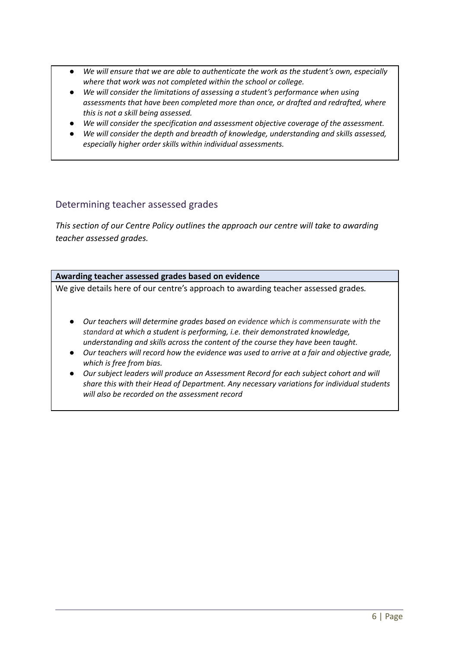- *● We will ensure that we are able to authenticate the work as the student's own, especially where that work was not completed within the school or college.*
- *● We will consider the limitations of assessing a student's performance when using assessments that have been completed more than once, or drafted and redrafted, where this is not a skill being assessed.*
- *● We will consider the specification and assessment objective coverage of the assessment.*
- *● We will consider the depth and breadth of knowledge, understanding and skills assessed, especially higher order skills within individual assessments.*

## Determining teacher assessed grades

*This section of our Centre Policy outlines the approach our centre will take to awarding teacher assessed grades.*

### **Awarding teacher assessed grades based on evidence**

We give details here of our centre's approach to awarding teacher assessed grades*.*

- *● Our teachers will determine grades based on evidence which is commensurate with the standard at which a student is performing, i.e. their demonstrated knowledge, understanding and skills across the content of the course they have been taught.*
- *● Our teachers will record how the evidence was used to arrive at a fair and objective grade, which is free from bias.*
- *● Our subject leaders will produce an Assessment Record for each subject cohort and will share this with their Head of Department. Any necessary variations for individual students will also be recorded on the assessment record*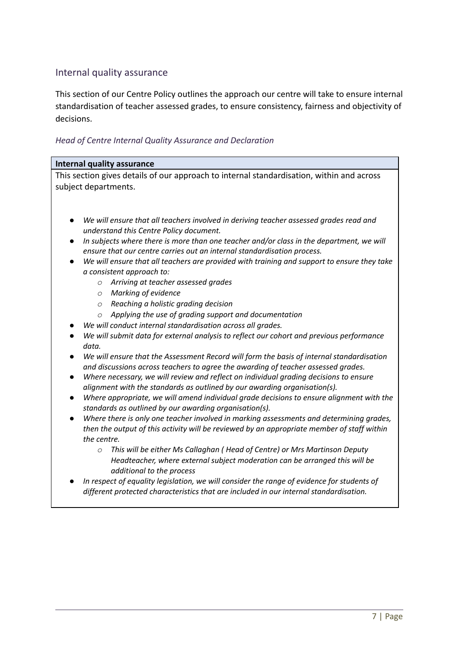# Internal quality assurance

This section of our Centre Policy outlines the approach our centre will take to ensure internal standardisation of teacher assessed grades, to ensure consistency, fairness and objectivity of decisions.

## *Head of Centre Internal Quality Assurance and Declaration*

| Internal quality assurance                                                                                                                                          |  |  |  |  |
|---------------------------------------------------------------------------------------------------------------------------------------------------------------------|--|--|--|--|
| This section gives details of our approach to internal standardisation, within and across                                                                           |  |  |  |  |
| subject departments.                                                                                                                                                |  |  |  |  |
|                                                                                                                                                                     |  |  |  |  |
|                                                                                                                                                                     |  |  |  |  |
| We will ensure that all teachers involved in deriving teacher assessed grades read and<br>understand this Centre Policy document.                                   |  |  |  |  |
| In subjects where there is more than one teacher and/or class in the department, we will<br>ensure that our centre carries out an internal standardisation process. |  |  |  |  |
| We will ensure that all teachers are provided with training and support to ensure they take                                                                         |  |  |  |  |
| a consistent approach to:                                                                                                                                           |  |  |  |  |
| Arriving at teacher assessed grades<br>$\circ$                                                                                                                      |  |  |  |  |
| Marking of evidence<br>$\circ$                                                                                                                                      |  |  |  |  |
| Reaching a holistic grading decision<br>$\circ$                                                                                                                     |  |  |  |  |
| Applying the use of grading support and documentation<br>$\circ$                                                                                                    |  |  |  |  |
| We will conduct internal standardisation across all grades.                                                                                                         |  |  |  |  |
| We will submit data for external analysis to reflect our cohort and previous performance                                                                            |  |  |  |  |
| data.                                                                                                                                                               |  |  |  |  |
| We will ensure that the Assessment Record will form the basis of internal standardisation                                                                           |  |  |  |  |
| and discussions across teachers to agree the awarding of teacher assessed grades.                                                                                   |  |  |  |  |
| Where necessary, we will review and reflect on individual grading decisions to ensure<br>alignment with the standards as outlined by our awarding organisation(s).  |  |  |  |  |
| Where appropriate, we will amend individual grade decisions to ensure alignment with the<br>$\bullet$<br>standards as outlined by our awarding organisation(s).     |  |  |  |  |
| Where there is only one teacher involved in marking assessments and determining grades,                                                                             |  |  |  |  |
| then the output of this activity will be reviewed by an appropriate member of staff within                                                                          |  |  |  |  |
| the centre.                                                                                                                                                         |  |  |  |  |
| This will be either Ms Callaghan (Head of Centre) or Mrs Martinson Deputy<br>$\circ$                                                                                |  |  |  |  |
| Headteacher, where external subject moderation can be arranged this will be<br>additional to the process                                                            |  |  |  |  |
| In respect of equality legislation, we will consider the range of evidence for students of                                                                          |  |  |  |  |
| different protected characteristics that are included in our internal standardisation.                                                                              |  |  |  |  |
|                                                                                                                                                                     |  |  |  |  |
|                                                                                                                                                                     |  |  |  |  |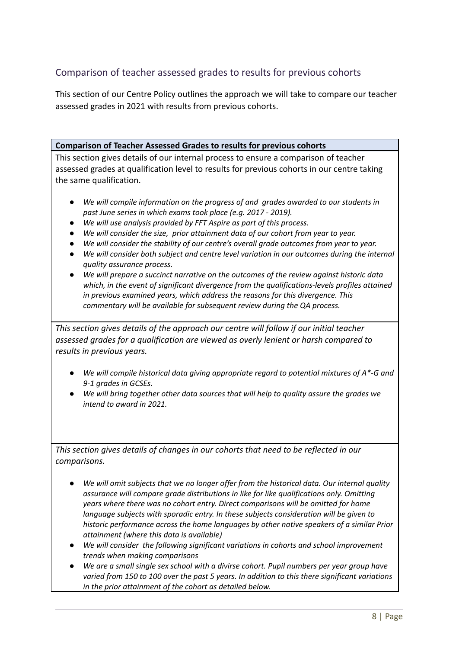# Comparison of teacher assessed grades to results for previous cohorts

This section of our Centre Policy outlines the approach we will take to compare our teacher assessed grades in 2021 with results from previous cohorts.

**Comparison of Teacher Assessed Grades to results for previous cohorts**

This section gives details of our internal process to ensure a comparison of teacher assessed grades at qualification level to results for previous cohorts in our centre taking the same qualification.

- *● We will compile information on the progress of and grades awarded to our students in past June series in which exams took place (e.g. 2017 - 2019).*
- *● We will use analysis provided by FFT Aspire as part of this process.*
- *● We will consider the size, prior attainment data of our cohort from year to year.*
- *● We will consider the stability of our centre's overall grade outcomes from year to year.*
- *● We will consider both subject and centre level variation in our outcomes during the internal quality assurance process.*
- *● We will prepare a succinct narrative on the outcomes of the review against historic data which, in the event of significant divergence from the qualifications-levels profiles attained in previous examined years, which address the reasons for this divergence. This commentary will be available for subsequent review during the QA process.*

*This section gives details of the approach our centre will follow if our initial teacher assessed grades for a qualification are viewed as overly lenient or harsh compared to results in previous years.*

- *● We will compile historical data giving appropriate regard to potential mixtures of A\*-G and 9-1 grades in GCSEs.*
- *● We will bring together other data sources that will help to quality assure the grades we intend to award in 2021.*

*This section gives details of changes in our cohorts that need to be reflected in our comparisons.*

- *● We will omit subjects that we no longer offer from the historical data. Our internal quality assurance will compare grade distributions in like for like qualifications only. Omitting years where there was no cohort entry. Direct comparisons will be omitted for home language subjects with sporadic entry. In these subjects consideration will be given to historic performance across the home languages by other native speakers of a similar Prior attainment (where this data is available)*
- *● We will consider the following significant variations in cohorts and school improvement trends when making comparisons*
- *● We are a small single sex school with a divirse cohort. Pupil numbers per year group have varied from 150 to 100 over the past 5 years. In addition to this there significant variations in the prior attainment of the cohort as detailed below.*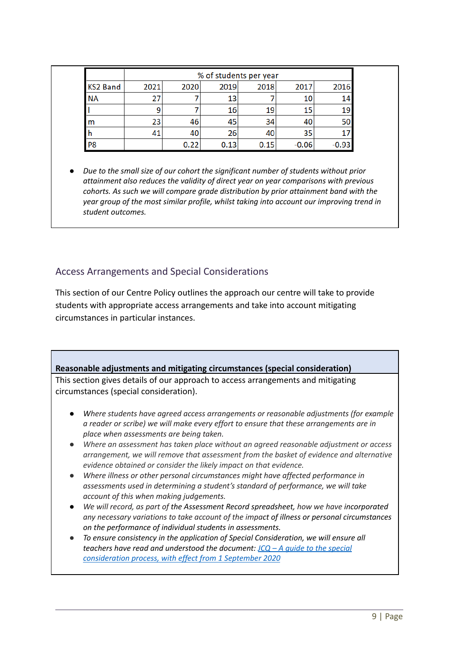|                 | % of students per year |      |      |      |         |         |  |
|-----------------|------------------------|------|------|------|---------|---------|--|
| <b>KS2 Band</b> | 2021                   | 2020 | 2019 | 2018 | 2017    | 2016    |  |
| <b>NA</b>       |                        |      | 13   |      |         |         |  |
|                 |                        |      | 16   | 19   |         | 19      |  |
| m               | 23                     | 46   |      | 34   |         |         |  |
|                 |                        |      | 26   |      | 35      |         |  |
| P <sub>8</sub>  |                        | 0.22 | 0.13 | 0.15 | $-0.06$ | $-0.93$ |  |

*● Due to the small size of our cohort the significant number of students without prior attainment also reduces the validity of direct year on year comparisons with previous cohorts. As such we will compare grade distribution by prior attainment band with the year group of the most similar profile, whilst taking into account our improving trend in student outcomes.*

## Access Arrangements and Special Considerations

This section of our Centre Policy outlines the approach our centre will take to provide students with appropriate access arrangements and take into account mitigating circumstances in particular instances.

## **Reasonable adjustments and mitigating circumstances (special consideration)**

This section gives details of our approach to access arrangements and mitigating circumstances (special consideration).

- *● Where students have agreed access arrangements or reasonable adjustments (for example a reader or scribe) we will make every effort to ensure that these arrangements are in place when assessments are being taken.*
- *● Where an assessment has taken place without an agreed reasonable adjustment or access arrangement, we will remove that assessment from the basket of evidence and alternative evidence obtained or consider the likely impact on that evidence.*
- *● Where illness or other personal circumstances might have affected performance in assessments used in determining a student's standard of performance, we will take account of this when making judgements.*
- *● We will record, as part of the Assessment Record spreadsheet, how we have incorporated any necessary variations to take account of the impact of illness or personal circumstances on the performance of individual students in assessments.*
- *● To ensure consistency in the application of Special Consideration, we will ensure all teachers have read and understood the document: JCQ – A guide to the [special](https://www.jcq.org.uk/wp-content/uploads/2020/08/A-guide-to-the-spec-con-process-202021-Website-version.pdf) [consideration](https://www.jcq.org.uk/wp-content/uploads/2020/08/A-guide-to-the-spec-con-process-202021-Website-version.pdf) process, with effect from 1 September 2020*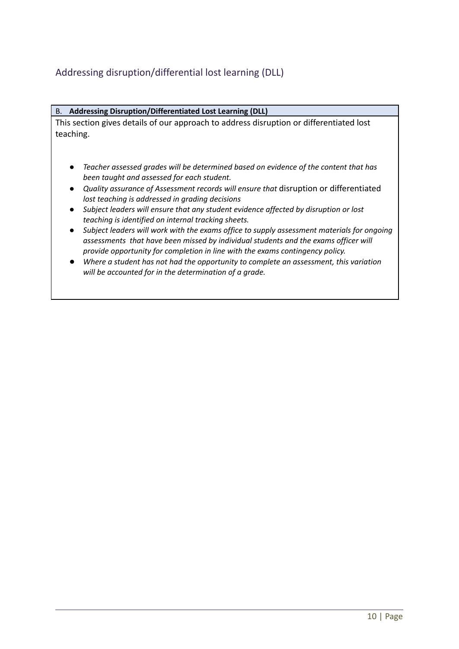# Addressing disruption/differential lost learning (DLL)

#### B. **Addressing Disruption/Differentiated Lost Learning (DLL)**

This section gives details of our approach to address disruption or differentiated lost teaching.

- *● Teacher assessed grades will be determined based on evidence of the content that has been taught and assessed for each student.*
- *● Quality assurance of Assessment records will ensure that* disruption or differentiated *lost teaching is addressed in grading decisions*
- *● Subject leaders will ensure that any student evidence affected by disruption or lost teaching is identified on internal tracking sheets.*
- *● Subject leaders will work with the exams office to supply assessment materials for ongoing assessments that have been missed by individual students and the exams officer will provide opportunity for completion in line with the exams contingency policy.*
- *Where a student has not had the opportunity to complete an assessment, this variation will be accounted for in the determination of a grade.*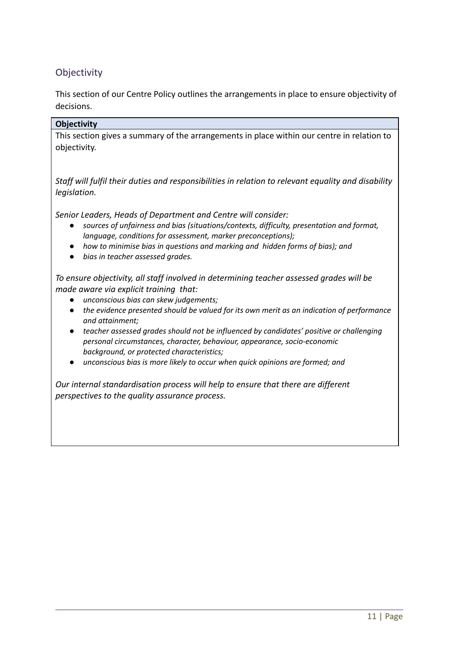# **Objectivity**

This section of our Centre Policy outlines the arrangements in place to ensure objectivity of decisions.

### **Objectivity**

This section gives a summary of the arrangements in place within our centre in relation to objectivity.

*Staff will fulfil their duties and responsibilities in relation to relevant equality and disability legislation.*

*Senior Leaders, Heads of Department and Centre will consider:*

- *● sources of unfairness and bias (situations/contexts, difficulty, presentation and format, language, conditions for assessment, marker preconceptions);*
- *● how to minimise bias in questions and marking and hidden forms of bias); and*
- *● bias in teacher assessed grades.*

*To ensure objectivity, all staff involved in determining teacher assessed grades will be made aware via explicit training that:*

- *● unconscious bias can skew judgements;*
- *● the evidence presented should be valued for its own merit as an indication of performance and attainment;*
- *● teacher assessed grades should not be influenced by candidates' positive or challenging personal circumstances, character, behaviour, appearance, socio-economic background, or protected characteristics;*
- *● unconscious bias is more likely to occur when quick opinions are formed; and*

*Our internal standardisation process will help to ensure that there are different perspectives to the quality assurance process.*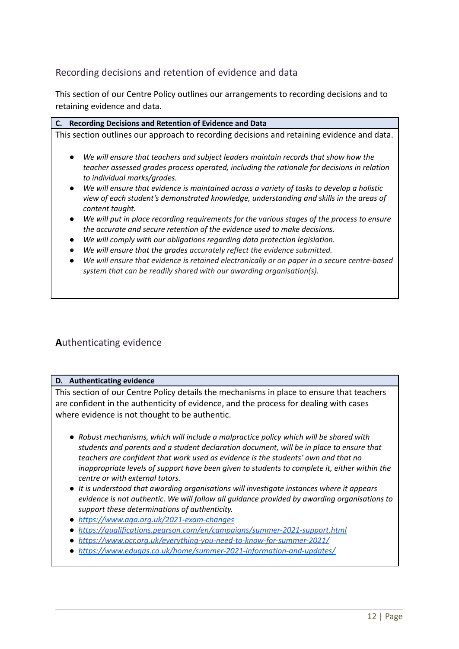## Recording decisions and retention of evidence and data

This section of our Centre Policy outlines our arrangements to recording decisions and to retaining evidence and data.

| C. Recording Decisions and Retention of Evidence and Data                                                                                                                                                                                                           |
|---------------------------------------------------------------------------------------------------------------------------------------------------------------------------------------------------------------------------------------------------------------------|
| This section outlines our approach to recording decisions and retaining evidence and data.                                                                                                                                                                          |
| We will ensure that teachers and subject leaders maintain records that show how the<br>$\bullet$<br>teacher assessed grades process operated, including the rationale for decisions in relation<br>to individual marks/grades.                                      |
| We will ensure that evidence is maintained across a variety of tasks to develop a holistic<br>$\bullet$<br>view of each student's demonstrated knowledge, understanding and skills in the areas of<br>content taught.                                               |
| We will put in place recording requirements for the various stages of the process to ensure<br>$\bullet$<br>the accurate and secure retention of the evidence used to make decisions.<br>We will comply with our obligations regarding data protection legislation. |

- *● We will ensure that the grades accurately reflect the evidence submitted.*
- *● We will ensure that evidence is retained electronically or on paper in a secure centre-based system that can be readily shared with our awarding organisation(s).*

## **A**uthenticating evidence

#### **D. Authenticating evidence**

This section of our Centre Policy details the mechanisms in place to ensure that teachers are confident in the authenticity of evidence, and the process for dealing with cases where evidence is not thought to be authentic.

- *● Robust mechanisms, which will include a malpractice policy which will be shared with students and parents and a student declaration document, will be in place to ensure that teachers are confident that work used as evidence is the students' own and that no inappropriate levels of support have been given to students to complete it, either within the centre or with external tutors.*
- *It is understood that awarding organisations will investigate instances where it appears evidence is not authentic. We will follow all guidance provided by awarding organisations to support these determinations of authenticity.*
- *● <https://www.aqa.org.uk/2021-exam-changes>*
- *● <https://qualifications.pearson.com/en/campaigns/summer-2021-support.html>*
- *● <https://www.ocr.org.uk/everything-you-need-to-know-for-summer-2021/>*
- *● <https://www.eduqas.co.uk/home/summer-2021-information-and-updates/>*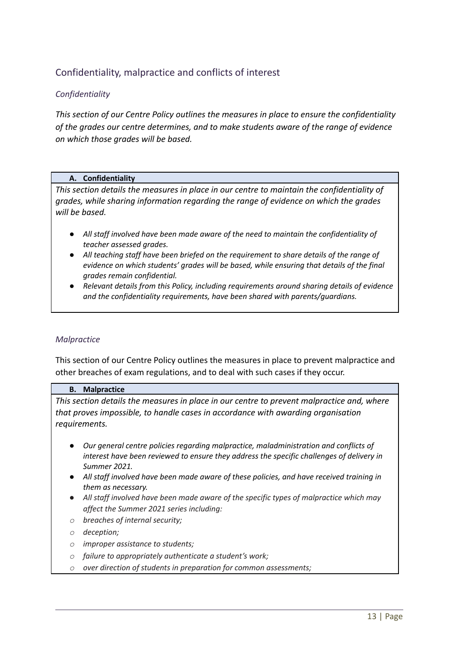# Confidentiality, malpractice and conflicts of interest

### *Confidentiality*

*This section of our Centre Policy outlines the measures in place to ensure the confidentiality of the grades our centre determines, and to make students aware of the range of evidence on which those grades will be based.*

#### **A. Confidentiality**

*This section details the measures in place in our centre to maintain the confidentiality of grades, while sharing information regarding the range of evidence on which the grades will be based.*

- *● All staff involved have been made aware of the need to maintain the confidentiality of teacher assessed grades.*
- *● All teaching staff have been briefed on the requirement to share details of the range of evidence on which students' grades will be based, while ensuring that details of the final grades remain confidential.*
- *● Relevant details from this Policy, including requirements around sharing details of evidence and the confidentiality requirements, have been shared with parents/guardians.*

#### *Malpractice*

This section of our Centre Policy outlines the measures in place to prevent malpractice and other breaches of exam regulations, and to deal with such cases if they occur.

#### **B. Malpractice**

*This section details the measures in place in our centre to prevent malpractice and, where that proves impossible, to handle cases in accordance with awarding organisation requirements.*

- *● Our general centre policies regarding malpractice, maladministration and conflicts of interest have been reviewed to ensure they address the specific challenges of delivery in Summer 2021.*
- *● All staff involved have been made aware of these policies, and have received training in them as necessary.*
- *● All staff involved have been made aware of the specific types of malpractice which may affect the Summer 2021 series including:*
- *o breaches of internal security;*
- *o deception;*
- *o improper assistance to students;*
- *o failure to appropriately authenticate a student's work;*
- *o over direction of students in preparation for common assessments;*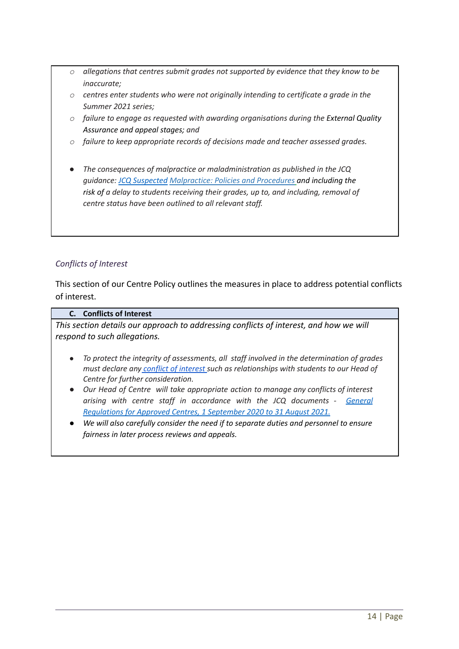- *o allegations that centres submit grades not supported by evidence that they know to be inaccurate;*
- *o centres enter students who were not originally intending to certificate a grade in the Summer 2021 series;*
- *o failure to engage as requested with awarding organisations during the External Quality Assurance and appeal stages; and*
- *o failure to keep appropriate records of decisions made and teacher assessed grades.*
- *● The consequences of malpractice or maladministration as published in the JCQ guidance: JCQ [Suspected](https://www.jcq.org.uk/exams-office/malpractice/jcq-suspected-malpractice-policies-and-procedures-2019-2020) Malpractice: Policies and Procedures and including the risk of a delay to students receiving their grades, up to, and including, removal of centre status have been outlined to all relevant staff.*

### *Conflicts of Interest*

This section of our Centre Policy outlines the measures in place to address potential conflicts of interest.

#### **C. Conflicts of Interest**

*This section details our approach to addressing conflicts of interest, and how we will respond to such allegations.*

- *● To protect the integrity of assessments, all staff involved in the determination of grades must declare any conflict of [interest](https://docs.google.com/document/d/1BR_6VjskwS0j9cjzC3MUWpMc_tr01fgl/edit) such as relationships with students to our Head of Centre for further consideration.*
- *● Our Head of Centre will take appropriate action to manage any conflicts of interest arising with centre staff in accordance with the JCQ documents - [General](https://www.jcq.org.uk/wp-content/uploads/2020/09/Gen_regs_approved_centres_20-21_FINAL.pdf) [Regulations](https://www.jcq.org.uk/wp-content/uploads/2020/09/Gen_regs_approved_centres_20-21_FINAL.pdf) for Approved Centres, 1 September 2020 to 31 August 2021.*
- *● We will also carefully consider the need if to separate duties and personnel to ensure fairness in later process reviews and appeals.*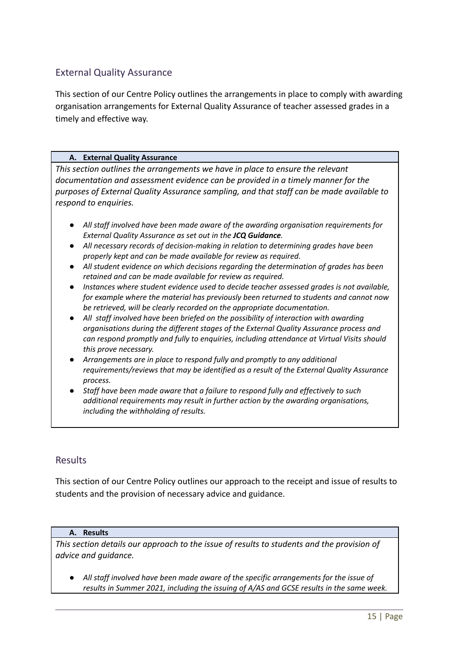## External Quality Assurance

This section of our Centre Policy outlines the arrangements in place to comply with awarding organisation arrangements for External Quality Assurance of teacher assessed grades in a timely and effective way.

#### **A. External Quality Assurance**

*This section outlines the arrangements we have in place to ensure the relevant documentation and assessment evidence can be provided in a timely manner for the purposes of External Quality Assurance sampling, and that staff can be made available to respond to enquiries.*

- *● All staff involved have been made aware of the awarding organisation requirements for External Quality Assurance as set out in the JCQ Guidance.*
- *● All necessary records of decision-making in relation to determining grades have been properly kept and can be made available for review as required.*
- *● All student evidence on which decisions regarding the determination of grades has been retained and can be made available for review as required.*
- *● Instances where student evidence used to decide teacher assessed grades is not available, for example where the material has previously been returned to students and cannot now be retrieved, will be clearly recorded on the appropriate documentation.*
- *● All staff involved have been briefed on the possibility of interaction with awarding organisations during the different stages of the External Quality Assurance process and can respond promptly and fully to enquiries, including attendance at Virtual Visits should this prove necessary.*
- *● Arrangements are in place to respond fully and promptly to any additional requirements/reviews that may be identified as a result of the External Quality Assurance process.*
- *● Staff have been made aware that a failure to respond fully and effectively to such additional requirements may result in further action by the awarding organisations, including the withholding of results.*

### Results

This section of our Centre Policy outlines our approach to the receipt and issue of results to students and the provision of necessary advice and guidance.

#### **A. Results**

*This section details our approach to the issue of results to students and the provision of advice and guidance.*

*● All staff involved have been made aware of the specific arrangements for the issue of results in Summer 2021, including the issuing of A/AS and GCSE results in the same week.*